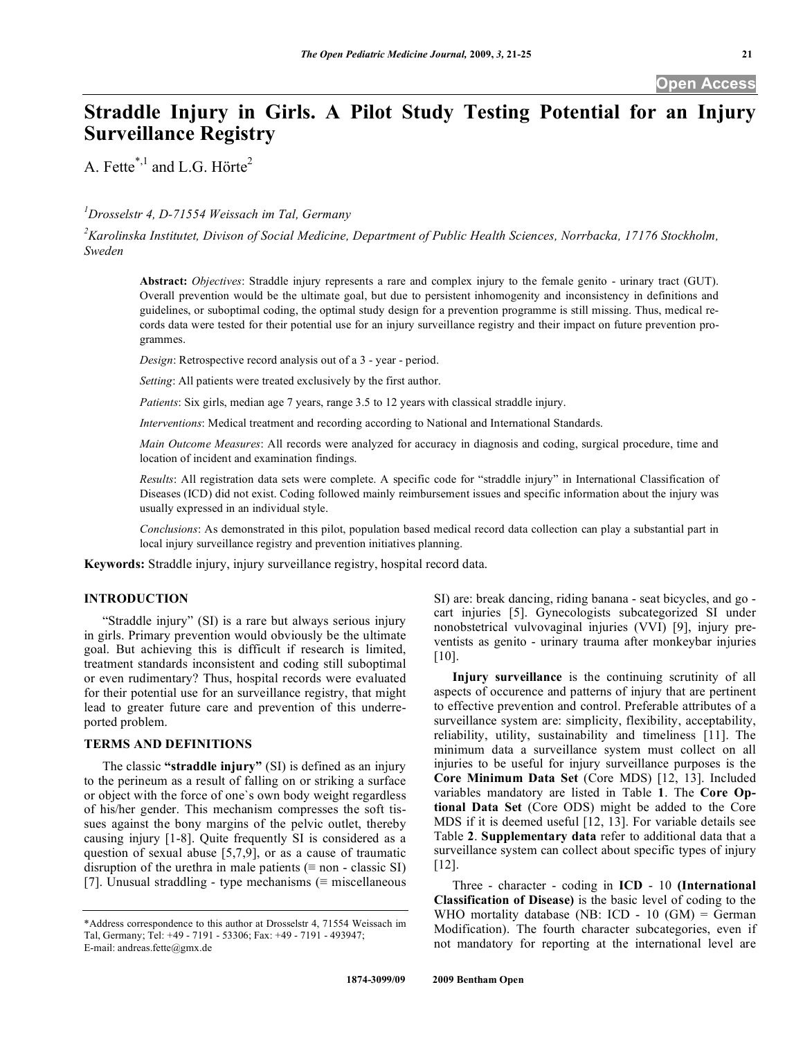# **Straddle Injury in Girls. A Pilot Study Testing Potential for an Injury Surveillance Registry**

A. Fette\*,<sup>1</sup> and L.G. Hörte<sup>2</sup>

## *1 Drosselstr 4, D-71554 Weissach im Tal, Germany*

*2 Karolinska Institutet, Divison of Social Medicine, Department of Public Health Sciences, Norrbacka, 17176 Stockholm, Sweden* 

**Abstract:** *Objectives*: Straddle injury represents a rare and complex injury to the female genito - urinary tract (GUT). Overall prevention would be the ultimate goal, but due to persistent inhomogenity and inconsistency in definitions and guidelines, or suboptimal coding, the optimal study design for a prevention programme is still missing. Thus, medical records data were tested for their potential use for an injury surveillance registry and their impact on future prevention programmes.

*Design*: Retrospective record analysis out of a 3 - year - period.

*Setting*: All patients were treated exclusively by the first author.

*Patients*: Six girls, median age 7 years, range 3.5 to 12 years with classical straddle injury.

*Interventions*: Medical treatment and recording according to National and International Standards.

*Main Outcome Measures*: All records were analyzed for accuracy in diagnosis and coding, surgical procedure, time and location of incident and examination findings.

*Results*: All registration data sets were complete. A specific code for "straddle injury" in International Classification of Diseases (ICD) did not exist. Coding followed mainly reimbursement issues and specific information about the injury was usually expressed in an individual style.

*Conclusions*: As demonstrated in this pilot, population based medical record data collection can play a substantial part in local injury surveillance registry and prevention initiatives planning.

**Keywords:** Straddle injury, injury surveillance registry, hospital record data.

### **INTRODUCTION**

 "Straddle injury" (SI) is a rare but always serious injury in girls. Primary prevention would obviously be the ultimate goal. But achieving this is difficult if research is limited, treatment standards inconsistent and coding still suboptimal or even rudimentary? Thus, hospital records were evaluated for their potential use for an surveillance registry, that might lead to greater future care and prevention of this underreported problem.

### **TERMS AND DEFINITIONS**

 The classic **"straddle injury"** (SI) is defined as an injury to the perineum as a result of falling on or striking a surface or object with the force of one`s own body weight regardless of his/her gender. This mechanism compresses the soft tissues against the bony margins of the pelvic outlet, thereby causing injury [1-8]. Quite frequently SI is considered as a question of sexual abuse [5,7,9], or as a cause of traumatic disruption of the urethra in male patients  $(\equiv$  non - classic SI) [7]. Unusual straddling - type mechanisms ( $\equiv$  miscellaneous

SI) are: break dancing, riding banana - seat bicycles, and go cart injuries [5]. Gynecologists subcategorized SI under nonobstetrical vulvovaginal injuries (VVI) [9], injury preventists as genito - urinary trauma after monkeybar injuries [10].

 **Injury surveillance** is the continuing scrutinity of all aspects of occurence and patterns of injury that are pertinent to effective prevention and control. Preferable attributes of a surveillance system are: simplicity, flexibility, acceptability, reliability, utility, sustainability and timeliness [11]. The minimum data a surveillance system must collect on all injuries to be useful for injury surveillance purposes is the **Core Minimum Data Set** (Core MDS) [12, 13]. Included variables mandatory are listed in Table **1**. The **Core Optional Data Set** (Core ODS) might be added to the Core MDS if it is deemed useful [12, 13]. For variable details see Table **2**. **Supplementary data** refer to additional data that a surveillance system can collect about specific types of injury [12].

 Three - character - coding in **ICD** - 10 **(International Classification of Disease)** is the basic level of coding to the WHO mortality database (NB: ICD - 10 (GM) = German Modification). The fourth character subcategories, even if not mandatory for reporting at the international level are

<sup>\*</sup>Address correspondence to this author at Drosselstr 4, 71554 Weissach im Tal, Germany; Tel: +49 - 7191 - 53306; Fax: +49 - 7191 - 493947; E-mail: andreas.fette@gmx.de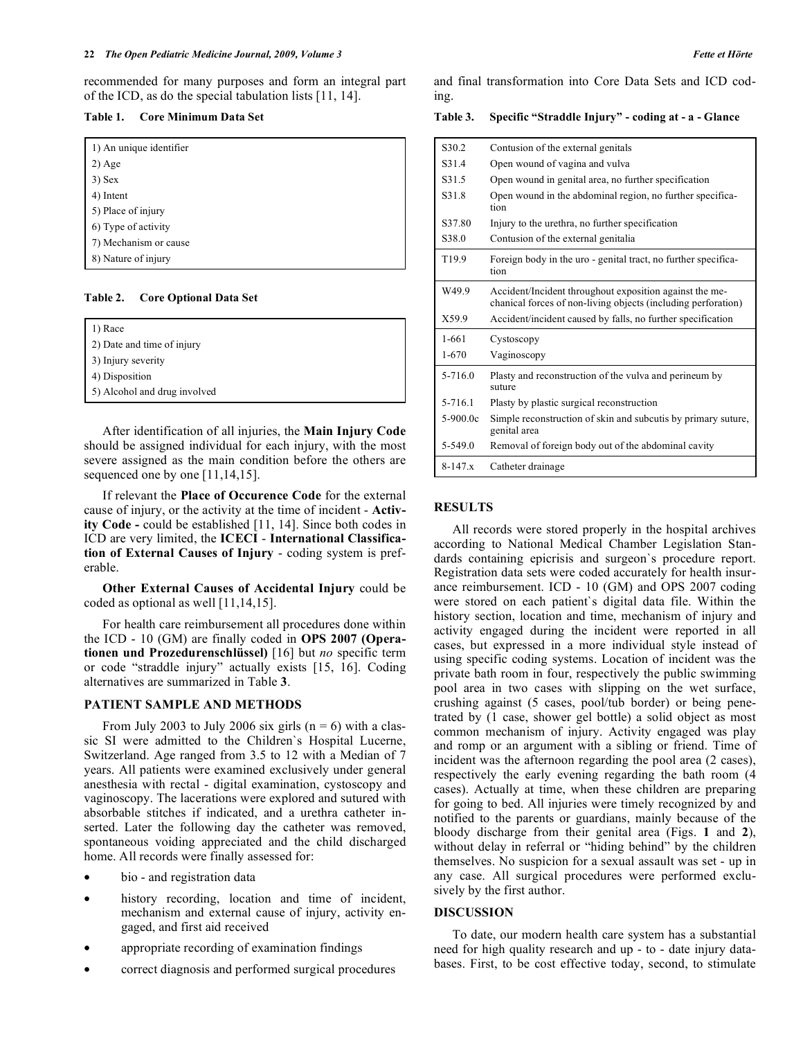recommended for many purposes and form an integral part of the ICD, as do the special tabulation lists [11, 14].

| Core Minimum Data Set | Table 1. |  |  |  |  |
|-----------------------|----------|--|--|--|--|
|-----------------------|----------|--|--|--|--|

| 1) An unique identifier |  |
|-------------------------|--|
| $2)$ Age                |  |
|                         |  |
| $3)$ Sex                |  |
| 4) Intent               |  |
| 5) Place of injury      |  |
| 6) Type of activity     |  |
| 7) Mechanism or cause   |  |
| 8) Nature of injury     |  |

**Table 2. Core Optional Data Set** 

| 1) Race                      |  |
|------------------------------|--|
| 2) Date and time of injury   |  |
| 3) Injury severity           |  |
| 4) Disposition               |  |
| 5) Alcohol and drug involved |  |

 After identification of all injuries, the **Main Injury Code** should be assigned individual for each injury, with the most severe assigned as the main condition before the others are sequenced one by one [11,14,15].

 If relevant the **Place of Occurence Code** for the external cause of injury, or the activity at the time of incident - **Activity Code -** could be established [11, 14]. Since both codes in ICD are very limited, the **ICECI** - **International Classification of External Causes of Injury** - coding system is preferable.

 **Other External Causes of Accidental Injury** could be coded as optional as well [11,14,15].

 For health care reimbursement all procedures done within the ICD - 10 (GM) are finally coded in **OPS 2007 (Operationen und Prozedurenschlüssel)** [16] but *no* specific term or code "straddle injury" actually exists [15, 16]. Coding alternatives are summarized in Table **3**.

#### **PATIENT SAMPLE AND METHODS**

From July 2003 to July 2006 six girls  $(n = 6)$  with a classic SI were admitted to the Children`s Hospital Lucerne, Switzerland. Age ranged from 3.5 to 12 with a Median of 7 years. All patients were examined exclusively under general anesthesia with rectal - digital examination, cystoscopy and vaginoscopy. The lacerations were explored and sutured with absorbable stitches if indicated, and a urethra catheter inserted. Later the following day the catheter was removed, spontaneous voiding appreciated and the child discharged home. All records were finally assessed for:

- bio and registration data
- history recording, location and time of incident, mechanism and external cause of injury, activity engaged, and first aid received
- appropriate recording of examination findings
- correct diagnosis and performed surgical procedures

and final transformation into Core Data Sets and ICD coding.

|  |  | Table 3. Specific "Straddle Injury" - coding at - a - Glance |  |  |
|--|--|--------------------------------------------------------------|--|--|
|--|--|--------------------------------------------------------------|--|--|

| S <sub>30.2</sub> | Contusion of the external genitals                                                                                       |
|-------------------|--------------------------------------------------------------------------------------------------------------------------|
| S31.4             | Open wound of vagina and vulva                                                                                           |
| S31.5             | Open wound in genital area, no further specification                                                                     |
| S31.8             | Open wound in the abdominal region, no further specifica-<br>tion                                                        |
| S37.80            | Injury to the urethra, no further specification                                                                          |
| S <sub>38.0</sub> | Contusion of the external genitalia                                                                                      |
| T <sub>19.9</sub> | Foreign body in the uro - genital tract, no further specifica-<br>tion                                                   |
| W49.9             | Accident/Incident throughout exposition against the me-<br>chanical forces of non-living objects (including perforation) |
| X59.9             | Accident/incident caused by falls, no further specification                                                              |
| $1 - 661$         | Cystoscopy                                                                                                               |
| $1 - 670$         | Vaginoscopy                                                                                                              |
| 5-716.0           | Plasty and reconstruction of the vulva and perineum by<br>suture                                                         |
| 5-716.1           | Plasty by plastic surgical reconstruction                                                                                |
| $5-900.0c$        | Simple reconstruction of skin and subcutis by primary suture,<br>genital area                                            |
| 5-549.0           | Removal of foreign body out of the abdominal cavity                                                                      |
| $8-147$ x         | Catheter drainage                                                                                                        |

#### **RESULTS**

 All records were stored properly in the hospital archives according to National Medical Chamber Legislation Standards containing epicrisis and surgeon`s procedure report. Registration data sets were coded accurately for health insurance reimbursement. ICD - 10 (GM) and OPS 2007 coding were stored on each patient`s digital data file. Within the history section, location and time, mechanism of injury and activity engaged during the incident were reported in all cases, but expressed in a more individual style instead of using specific coding systems. Location of incident was the private bath room in four, respectively the public swimming pool area in two cases with slipping on the wet surface, crushing against (5 cases, pool/tub border) or being penetrated by (1 case, shower gel bottle) a solid object as most common mechanism of injury. Activity engaged was play and romp or an argument with a sibling or friend. Time of incident was the afternoon regarding the pool area (2 cases), respectively the early evening regarding the bath room (4 cases). Actually at time, when these children are preparing for going to bed. All injuries were timely recognized by and notified to the parents or guardians, mainly because of the bloody discharge from their genital area (Figs. **1** and **2**), without delay in referral or "hiding behind" by the children themselves. No suspicion for a sexual assault was set - up in any case. All surgical procedures were performed exclusively by the first author.

#### **DISCUSSION**

 To date, our modern health care system has a substantial need for high quality research and up - to - date injury databases. First, to be cost effective today, second, to stimulate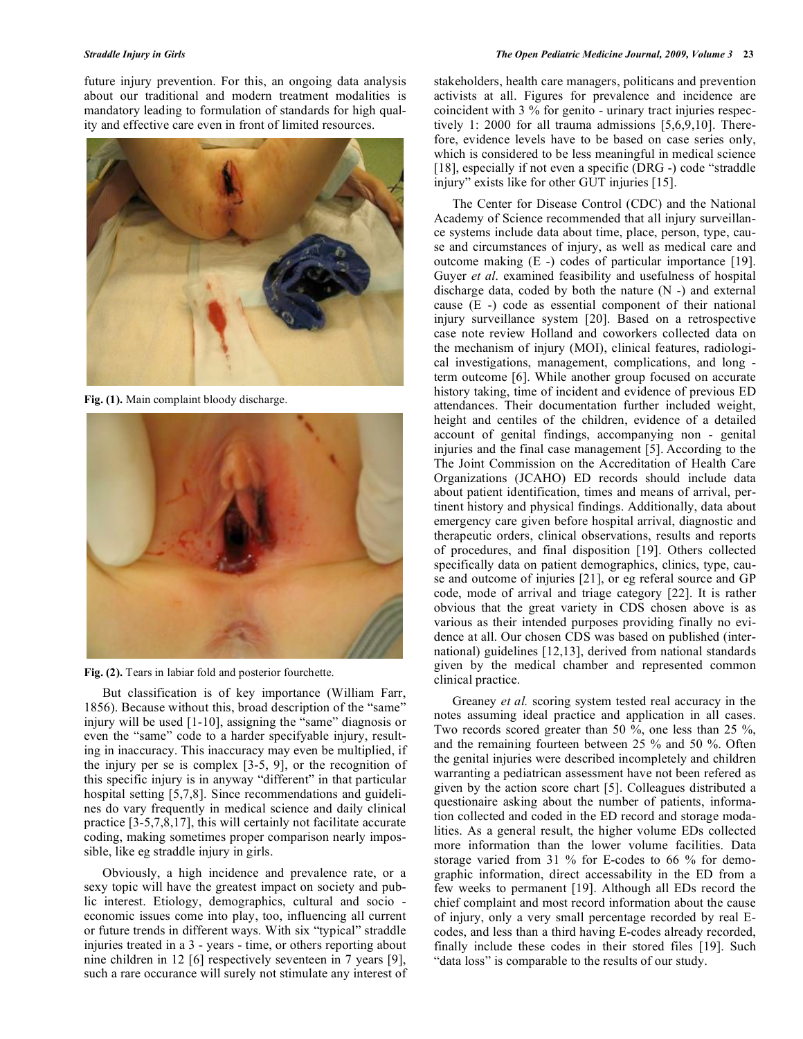future injury prevention. For this, an ongoing data analysis about our traditional and modern treatment modalities is mandatory leading to formulation of standards for high quality and effective care even in front of limited resources.



**Fig. (1).** Main complaint bloody discharge.



**Fig. (2).** Tears in labiar fold and posterior fourchette.

 But classification is of key importance (William Farr, 1856). Because without this, broad description of the "same" injury will be used [1-10], assigning the "same" diagnosis or even the "same" code to a harder specifyable injury, resulting in inaccuracy. This inaccuracy may even be multiplied, if the injury per se is complex [3-5, 9], or the recognition of this specific injury is in anyway "different" in that particular hospital setting [5,7,8]. Since recommendations and guidelines do vary frequently in medical science and daily clinical practice [3-5,7,8,17], this will certainly not facilitate accurate coding, making sometimes proper comparison nearly impossible, like eg straddle injury in girls.

 Obviously, a high incidence and prevalence rate, or a sexy topic will have the greatest impact on society and public interest. Etiology, demographics, cultural and socio economic issues come into play, too, influencing all current or future trends in different ways. With six "typical" straddle injuries treated in a 3 - years - time, or others reporting about nine children in 12 [6] respectively seventeen in 7 years [9], such a rare occurance will surely not stimulate any interest of stakeholders, health care managers, politicans and prevention activists at all. Figures for prevalence and incidence are coincident with 3 % for genito - urinary tract injuries respectively 1: 2000 for all trauma admissions [5,6,9,10]. Therefore, evidence levels have to be based on case series only, which is considered to be less meaningful in medical science [18], especially if not even a specific (DRG -) code "straddle injury" exists like for other GUT injuries [15].

 The Center for Disease Control (CDC) and the National Academy of Science recommended that all injury surveillance systems include data about time, place, person, type, cause and circumstances of injury, as well as medical care and outcome making (E -) codes of particular importance [19]. Guyer *et al*. examined feasibility and usefulness of hospital discharge data, coded by both the nature (N -) and external cause (E -) code as essential component of their national injury surveillance system [20]. Based on a retrospective case note review Holland and coworkers collected data on the mechanism of injury (MOI), clinical features, radiological investigations, management, complications, and long term outcome [6]. While another group focused on accurate history taking, time of incident and evidence of previous ED attendances. Their documentation further included weight, height and centiles of the children, evidence of a detailed account of genital findings, accompanying non - genital injuries and the final case management [5]. According to the The Joint Commission on the Accreditation of Health Care Organizations (JCAHO) ED records should include data about patient identification, times and means of arrival, pertinent history and physical findings. Additionally, data about emergency care given before hospital arrival, diagnostic and therapeutic orders, clinical observations, results and reports of procedures, and final disposition [19]. Others collected specifically data on patient demographics, clinics, type, cause and outcome of injuries [21], or eg referal source and GP code, mode of arrival and triage category [22]. It is rather obvious that the great variety in CDS chosen above is as various as their intended purposes providing finally no evidence at all. Our chosen CDS was based on published (international) guidelines [12,13], derived from national standards given by the medical chamber and represented common clinical practice.

 Greaney *et al.* scoring system tested real accuracy in the notes assuming ideal practice and application in all cases. Two records scored greater than 50 %, one less than 25 %, and the remaining fourteen between 25 % and 50 %. Often the genital injuries were described incompletely and children warranting a pediatrican assessment have not been refered as given by the action score chart [5]. Colleagues distributed a questionaire asking about the number of patients, information collected and coded in the ED record and storage modalities. As a general result, the higher volume EDs collected more information than the lower volume facilities. Data storage varied from 31 % for E-codes to 66 % for demographic information, direct accessability in the ED from a few weeks to permanent [19]. Although all EDs record the chief complaint and most record information about the cause of injury, only a very small percentage recorded by real Ecodes, and less than a third having E-codes already recorded, finally include these codes in their stored files [19]. Such "data loss" is comparable to the results of our study.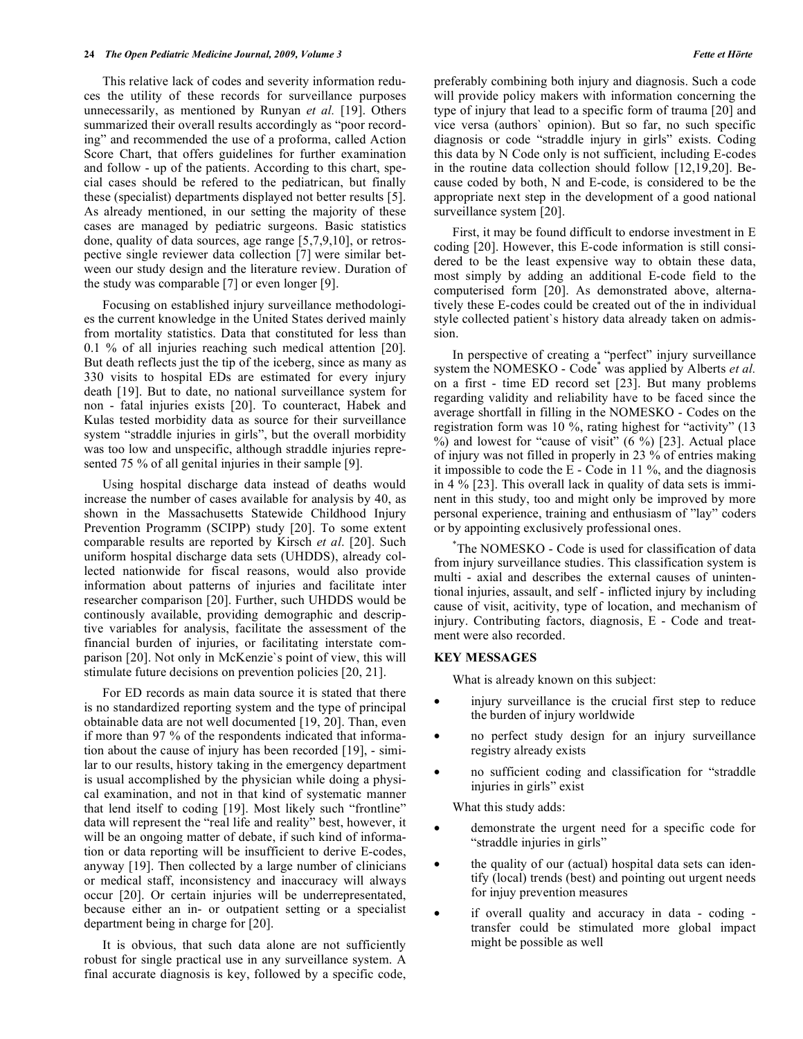This relative lack of codes and severity information reduces the utility of these records for surveillance purposes unnecessarily, as mentioned by Runyan *et al.* [19]. Others summarized their overall results accordingly as "poor recording" and recommended the use of a proforma, called Action Score Chart, that offers guidelines for further examination and follow - up of the patients. According to this chart, special cases should be refered to the pediatrican, but finally these (specialist) departments displayed not better results [5]. As already mentioned, in our setting the majority of these cases are managed by pediatric surgeons. Basic statistics done, quality of data sources, age range [5,7,9,10], or retrospective single reviewer data collection [7] were similar between our study design and the literature review. Duration of the study was comparable [7] or even longer [9].

 Focusing on established injury surveillance methodologies the current knowledge in the United States derived mainly from mortality statistics. Data that constituted for less than 0.1 % of all injuries reaching such medical attention [20]. But death reflects just the tip of the iceberg, since as many as 330 visits to hospital EDs are estimated for every injury death [19]. But to date, no national surveillance system for non - fatal injuries exists [20]. To counteract, Habek and Kulas tested morbidity data as source for their surveillance system "straddle injuries in girls", but the overall morbidity was too low and unspecific, although straddle injuries represented 75 % of all genital injuries in their sample [9].

 Using hospital discharge data instead of deaths would increase the number of cases available for analysis by 40, as shown in the Massachusetts Statewide Childhood Injury Prevention Programm (SCIPP) study [20]. To some extent comparable results are reported by Kirsch *et al*. [20]. Such uniform hospital discharge data sets (UHDDS), already collected nationwide for fiscal reasons, would also provide information about patterns of injuries and facilitate inter researcher comparison [20]. Further, such UHDDS would be continously available, providing demographic and descriptive variables for analysis, facilitate the assessment of the financial burden of injuries, or facilitating interstate comparison [20]. Not only in McKenzie`s point of view, this will stimulate future decisions on prevention policies [20, 21].

 For ED records as main data source it is stated that there is no standardized reporting system and the type of principal obtainable data are not well documented [19, 20]. Than, even if more than 97 % of the respondents indicated that information about the cause of injury has been recorded [19], - similar to our results, history taking in the emergency department is usual accomplished by the physician while doing a physical examination, and not in that kind of systematic manner that lend itself to coding [19]. Most likely such "frontline" data will represent the "real life and reality" best, however, it will be an ongoing matter of debate, if such kind of information or data reporting will be insufficient to derive E-codes, anyway [19]. Then collected by a large number of clinicians or medical staff, inconsistency and inaccuracy will always occur [20]. Or certain injuries will be underrepresentated, because either an in- or outpatient setting or a specialist department being in charge for [20].

 It is obvious, that such data alone are not sufficiently robust for single practical use in any surveillance system. A final accurate diagnosis is key, followed by a specific code, preferably combining both injury and diagnosis. Such a code will provide policy makers with information concerning the type of injury that lead to a specific form of trauma [20] and vice versa (authors` opinion). But so far, no such specific diagnosis or code "straddle injury in girls" exists. Coding this data by N Code only is not sufficient, including E-codes in the routine data collection should follow [12,19,20]. Because coded by both, N and E-code, is considered to be the appropriate next step in the development of a good national surveillance system [20].

 First, it may be found difficult to endorse investment in E coding [20]. However, this E-code information is still considered to be the least expensive way to obtain these data, most simply by adding an additional E-code field to the computerised form [20]. As demonstrated above, alternatively these E-codes could be created out of the in individual style collected patient`s history data already taken on admission.

 In perspective of creating a "perfect" injury surveillance system the NOMESKO - Code<sup>\*</sup> was applied by Alberts *et al.* on a first - time ED record set [23]. But many problems regarding validity and reliability have to be faced since the average shortfall in filling in the NOMESKO - Codes on the registration form was 10 %, rating highest for "activity" (13 %) and lowest for "cause of visit" (6 %) [23]. Actual place of injury was not filled in properly in 23 % of entries making it impossible to code the E - Code in 11 %, and the diagnosis in 4 % [23]. This overall lack in quality of data sets is imminent in this study, too and might only be improved by more personal experience, training and enthusiasm of "lay" coders or by appointing exclusively professional ones.

 \*The NOMESKO - Code is used for classification of data from injury surveillance studies. This classification system is multi - axial and describes the external causes of unintentional injuries, assault, and self - inflicted injury by including cause of visit, acitivity, type of location, and mechanism of injury. Contributing factors, diagnosis, E - Code and treatment were also recorded.

#### **KEY MESSAGES**

What is already known on this subject:

- injury surveillance is the crucial first step to reduce the burden of injury worldwide
- no perfect study design for an injury surveillance registry already exists
- no sufficient coding and classification for "straddle injuries in girls" exist

What this study adds:

- demonstrate the urgent need for a specific code for "straddle injuries in girls"
- the quality of our (actual) hospital data sets can identify (local) trends (best) and pointing out urgent needs for injuy prevention measures
- if overall quality and accuracy in data coding transfer could be stimulated more global impact might be possible as well